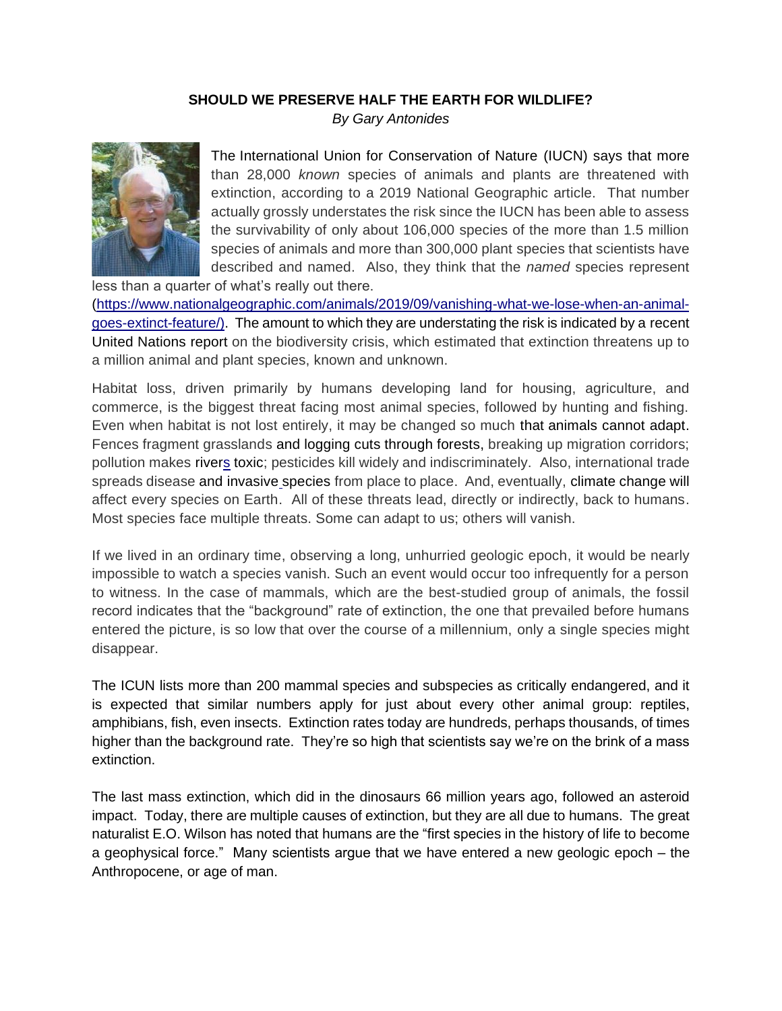## **SHOULD WE PRESERVE HALF THE EARTH FOR WILDLIFE?**

*By Gary Antonides*



The [International Union for Conservation of Nature](https://www.iucn.org/) (IUCN) says that more than 28,000 *known* species of animals and plants are threatened with extinction, according to a 2019 National Geographic article. That number actually grossly understates the risk since the IUCN has been able to assess the survivability of only about 106,000 species of the more than 1.5 million species of animals and more than 300,000 plant species that scientists have described and named. Also, they think that the *named* species represent

less than a quarter of what's really out there. [\(https://www.nationalgeographic.com/animals/2019/09/vanishing-what-we-lose-when-an-animal](https://www.nationalgeographic.com/animals/2019/09/vanishing-what-we-lose-when-an-animal-goes-extinct-feature/)[goes-extinct-feature/\)](https://www.nationalgeographic.com/animals/2019/09/vanishing-what-we-lose-when-an-animal-goes-extinct-feature/). The amount to which they are understating the risk is indicated by a [recent](https://www.nationalgeographic.com/environment/2019/05/ipbes-un-biodiversity-report-warns-one-million-species-at-risk)  [United Nations](https://www.nationalgeographic.com/environment/2019/05/ipbes-un-biodiversity-report-warns-one-million-species-at-risk) report on the biodiversity crisis, which estimated that extinction threatens up to a million animal and plant species, known and unknown.

Habitat loss, driven primarily by humans developing land for housing, agriculture, and commerce, is the biggest threat facing most animal species, followed by hunting and fishing. Even when habitat is not lost entirely, it may be changed so much that [animals cannot adapt.](https://www.nationalgeographic.com/animals/2019/08/how-the-amazon-rainforest-wildfires-will-affect-wild-animals) Fences fragment grasslands and [logging cuts through forests](https://www.nationalgeographic.com/environment/2019/08/brazil-logging), breaking up migration corridors; pollution makes [rivers](https://www.nationalgeographic.com/news/2018/06/european-eels-on-cocaine-polluted-rivers-science-environment-animals) toxic; pesticides kill widely and indiscriminately. Also, international trade spreads disease and [invasive](https://www.nationalgeographic.com/environment/habitats/invasive-species) species from place to place. And, eventually, [climate change](https://www.nationalgeographic.com/environment/climate-change) will affect every species on Earth. All of these threats lead, directly or indirectly, back to humans. Most species face multiple threats. Some can adapt to us; others will vanish.

If we lived in an ordinary time, observing a long, unhurried geologic epoch, it would be nearly impossible to watch a species vanish. Such an event would occur too infrequently for a person to witness. In the case of mammals, which are the best-studied group of animals, the fossil record indicates that the "background" rate of extinction, the one that prevailed before humans entered the picture, is so low that over the course of a millennium, only a single species might disappear.

The ICUN lists more than 200 mammal species and subspecies as critically endangered, and it is expected that similar numbers apply for just about every other animal group: reptiles, amphibians, fish, even insects. Extinction rates today are hundreds, perhaps thousands, of times higher than the background rate. They're so high that scientists say we're on the brink of a mass extinction.

The last mass extinction, which did in the dinosaurs 66 million years ago, followed an asteroid impact. Today, there are multiple causes of extinction, but they are all due to humans. The great naturalist E.O. Wilson has noted that humans are the "first species in the history of life to become a geophysical force." Many scientists argue that we have entered a new geologic epoch – the Anthropocene, or age of man.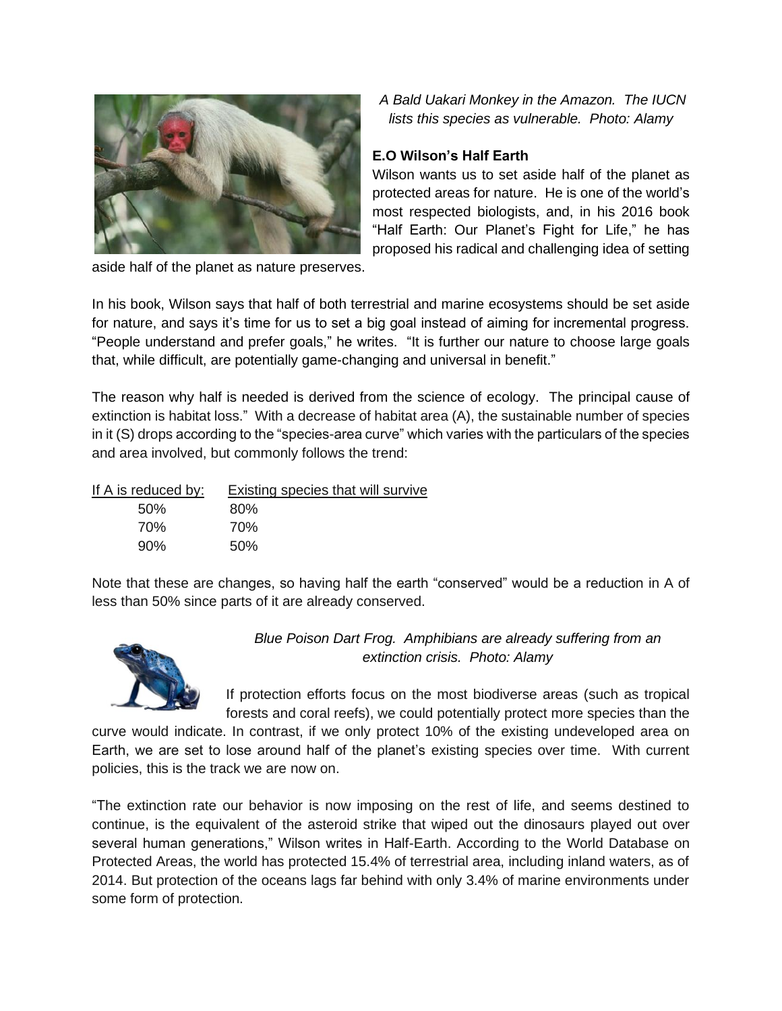

*A Bald Uakari Monkey in the Amazon. The IUCN lists this species as vulnerable. Photo: Alamy*

## **E.O Wilson's Half Earth**

Wilson wants us to set aside half of the planet as protected areas for nature. He is one of the world's most respected biologists, and, in his 2016 book "Half Earth: Our Planet's Fight for Life," he has proposed his radical and challenging idea of setting

aside half of the planet as nature preserves.

In his book, Wilson says that half of both terrestrial and marine ecosystems should be set aside for nature, and says it's time for us to set a big goal instead of aiming for incremental progress. "People understand and prefer goals," he writes. "It is further our nature to choose large goals that, while difficult, are potentially game-changing and universal in benefit."

The reason why half is needed is derived from the science of ecology. The principal cause of extinction is habitat loss." With a decrease of habitat area (A), the sustainable number of species in it (S) drops according to the "species-area curve" which varies with the particulars of the species and area involved, but commonly follows the trend:

| If A is reduced by: | Existing species that will survive |
|---------------------|------------------------------------|
| .50%                | 80%                                |
| 70%                 | 70%                                |
| 90%                 | 50%                                |

Note that these are changes, so having half the earth "conserved" would be a reduction in A of less than 50% since parts of it are already conserved.



*Blue Poison Dart Frog. Amphibians are already suffering from an extinction crisis. Photo: Alamy*

If protection efforts focus on the most biodiverse areas (such as tropical forests and coral reefs), we could potentially protect more species than the

curve would indicate. In contrast, if we only protect 10% of the existing undeveloped area on Earth, we are set to lose around half of the planet's existing species over time. With current policies, this is the track we are now on.

"The extinction rate our behavior is now imposing on the rest of life, and seems destined to continue, is the equivalent of the asteroid strike that wiped out the dinosaurs played out over several human generations," Wilson writes in Half-Earth. According to the World Database on Protected Areas, the world has protected 15.4% of terrestrial area, including inland waters, as of 2014. But protection of the oceans lags far behind with only 3.4% of marine environments under some form of protection.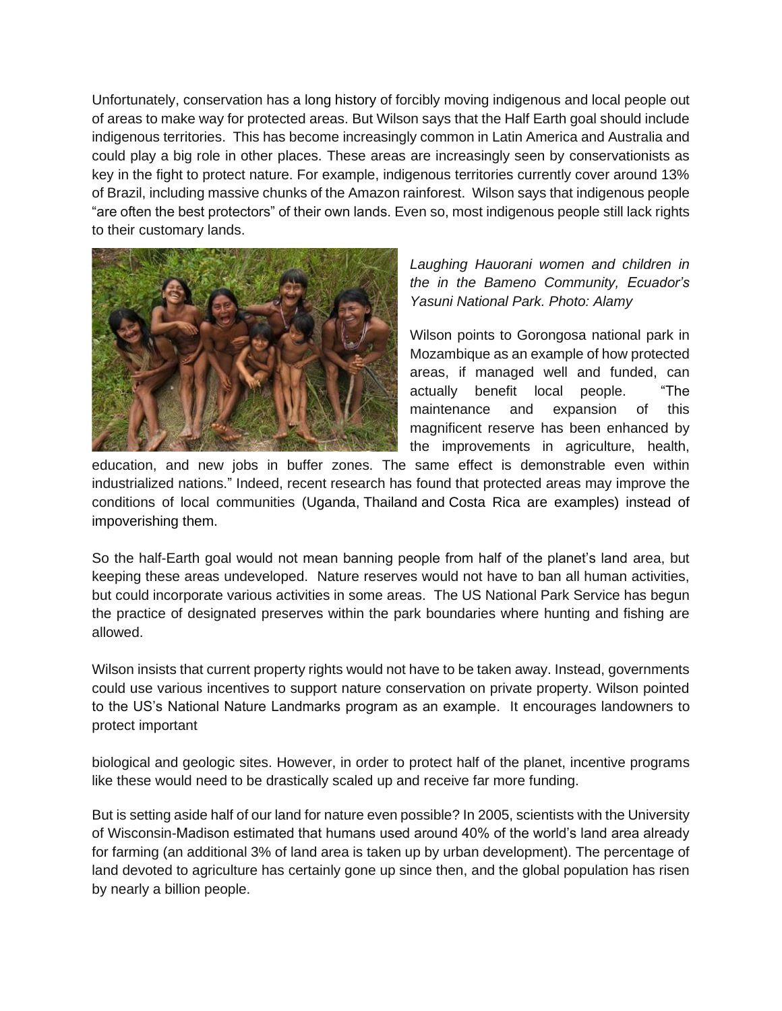Unfortunately, conservation has a long [history](https://news.mongabay.com/2016/05/186480/) of forcibly moving indigenous and local people out of areas to make way for protected areas. But Wilson says that the Half Earth goal should include indigenous territories. This has become increasingly common in Latin America and Australia and could play a big role in other places. These areas are increasingly seen by conservationists as key in the fight to protect nature. For example, indigenous territories currently cover around 13% of Brazil, including massive chunks of the Amazon rainforest. Wilson says that indigenous people "are often the best protectors" of their own lands. Even so, most indigenous people still lack rights to their customary lands.



*Laughing Hauorani women and children in the in the Bameno Community, Ecuador's Yasuni National Park. Photo: Alamy*

Wilson points to Gorongosa national park in Mozambique as an example of how protected areas, if managed well and funded, can actually benefit local people. "The maintenance and expansion of this magnificent reserve has been enhanced by the improvements in agriculture, health,

education, and new jobs in buffer zones. The same effect is demonstrable even within industrialized nations." Indeed, recent research has found that protected areas may improve the conditions of local communities [\(Uganda,](https://news.mongabay.com/2011/08/national-parks-do-not-contribute-to-poverty-finds-decade-long-study/) [Thailand](https://news.mongabay.com/2011/06/environment-versus-economy-local-communities-find-economic-benefits-from-living-next-to-conservation-areas/) and [Costa](https://news.mongabay.com/2011/06/environment-versus-economy-local-communities-find-economic-benefits-from-living-next-to-conservation-areas/) Rica are examples) instead of impoverishing them.

So the half-Earth goal would not mean banning people from half of the planet's land area, but keeping these areas undeveloped. Nature reserves would not have to ban all human activities, but could incorporate various activities in some areas. The US National Park Service has begun the practice of designated preserves within the park boundaries where hunting and fishing are allowed.

Wilson insists that current property rights would not have to be taken away. Instead, governments could use various incentives to support nature conservation on private property. Wilson pointed to the US's National Nature Landmarks program as an example. It encourages landowners to protect important

biological and geologic sites. However, in order to protect half of the planet, incentive programs like these would need to be drastically scaled up and receive far more funding.

But is setting aside half of our land for nature even possible? In 2005, scientists with the University of Wisconsin-Madison estimated that humans used around 40% of the world's land area already for farming (an additional 3% of land area is taken up by urban development). The percentage of land devoted to agriculture has certainly gone up since then, and the global population has risen by nearly a billion people.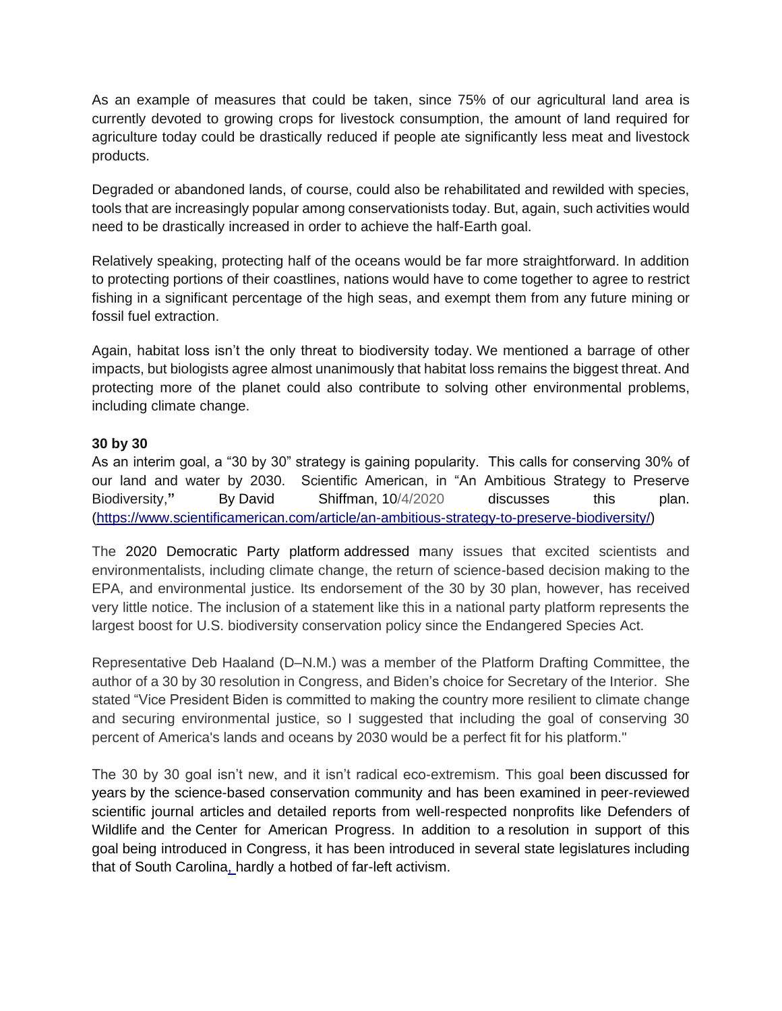As an example of measures that could be taken, since 75% of our agricultural land area is currently devoted to growing crops for livestock consumption, the amount of land required for agriculture today could be drastically reduced if people ate significantly less meat and livestock products.

Degraded or abandoned lands, of course, could also be rehabilitated and rewilded with species, tools that are increasingly popular among conservationists today. But, again, such activities would need to be drastically increased in order to achieve the half-Earth goal.

Relatively speaking, protecting half of the oceans would be far more straightforward. In addition to protecting portions of their coastlines, nations would have to come together to agree to restrict fishing in a significant percentage of the high seas, and exempt them from any future mining or fossil fuel extraction.

Again, habitat loss isn't the only threat to biodiversity today. We mentioned a barrage of other impacts, but biologists agree almost unanimously that habitat loss remains the biggest threat. And protecting more of the planet could also contribute to solving other environmental problems, including climate change.

## **30 by 30**

As an interim goal, a "30 by 30" strategy is gaining popularity. This calls for conserving 30% of our land and water by 2030. Scientific American, in "An Ambitious Strategy to Preserve Biodiversity,**"** By David [Shiffman,](https://www.scientificamerican.com/author/david-shiffman/) 10/4/2020 discusses this plan. [\(https://www.scientificamerican.com/article/an-ambitious-strategy-to-preserve-biodiversity/\)](https://www.scientificamerican.com/article/an-ambitious-strategy-to-preserve-biodiversity/)

The [2020 Democratic Party platform](https://www.demconvention.com/wp-content/uploads/2020/08/2020-07-31-Democratic-Party-Platform-For-Distribution.pdf) addressed many issues that excited scientists and environmentalists, including climate change, the return of science-based decision making to the EPA, and environmental justice. Its endorsement of the 30 by 30 plan, however, has received very little notice. The inclusion of a statement like this in a national party platform represents the largest boost for U.S. biodiversity conservation policy since the Endangered Species Act.

Representative Deb Haaland (D–N.M.) was a member of the Platform Drafting Committee, the author of a 30 by 30 resolution in Congress, and Biden's choice for Secretary of the Interior. She stated "Vice President Biden is committed to making the country more resilient to climate change and securing environmental justice, so I suggested that including the goal of conserving 30 percent of America's lands and oceans by 2030 would be a perfect fit for his platform."

The 30 by 30 goal isn't new, and it isn't radical eco-extremism. This goal been [discussed for](https://portals.iucn.org/library/sites/library/files/resrecfiles/WCC_2016_RES_050_EN.pdf)  [years](https://portals.iucn.org/library/sites/library/files/resrecfiles/WCC_2016_RES_050_EN.pdf) by the science-based conservation community and has been examined in [peer-reviewed](https://advances.sciencemag.org/content/5/4/eaaw2869)  [scientific journal articles](https://advances.sciencemag.org/content/5/4/eaaw2869) and detailed reports from well-respected nonprofits like [Defenders of](https://defenders.org/sites/default/files/2020-07/getting-to-30x30-guidelines-for-decision-makers.pdf?utm_source=webstory&utm_medium=social&utm_campaign=report-30x30guidelines-071520)  [Wildlife](https://defenders.org/sites/default/files/2020-07/getting-to-30x30-guidelines-for-decision-makers.pdf?utm_source=webstory&utm_medium=social&utm_campaign=report-30x30guidelines-071520) and the [Center for American Progress.](https://www.americanprogress.org/issues/green/reports/2019/08/06/473242/much-nature-america-keep/) In addition to a [resolution in support of this](https://www.congress.gov/bill/116th-congress/senate-resolution/372/cosponsors?searchResultViewType=expanded)  [goal](https://www.congress.gov/bill/116th-congress/senate-resolution/372/cosponsors?searchResultViewType=expanded) being introduced in Congress, it has been introduced in several state legislatures [including](https://www.scstatehouse.gov/sess123_2019-2020/prever/1024_20200121.htm)  [that of South Carolina,](https://www.scstatehouse.gov/sess123_2019-2020/prever/1024_20200121.htm) hardly a hotbed of far-left activism.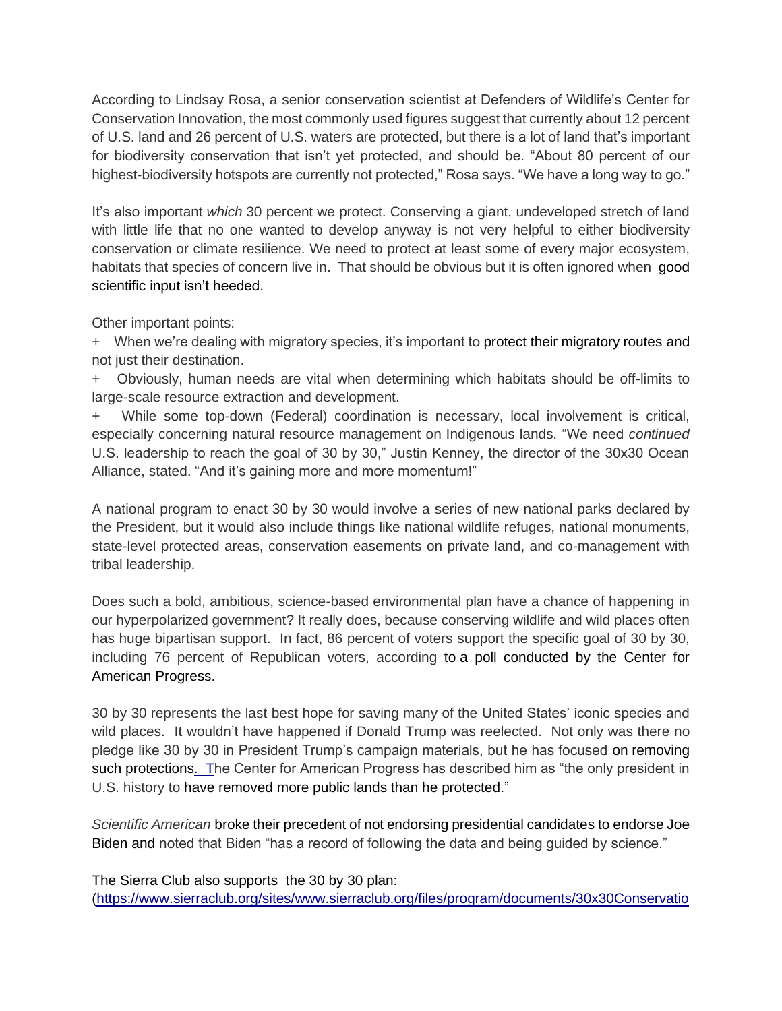According to Lindsay Rosa, a senior conservation scientist at Defenders of Wildlife's Center for Conservation Innovation, the most commonly used figures suggest that currently about 12 percent of U.S. land and 26 percent of U.S. waters are protected, but there is a lot of land that's important for biodiversity conservation that isn't yet protected, and should be. "About 80 percent of our highest-biodiversity hotspots are currently not protected," Rosa says. "We have a long way to go."

It's also important *which* 30 percent we protect. Conserving a giant, undeveloped stretch of land with little life that no one wanted to develop anyway is not very helpful to either biodiversity conservation or climate resilience. We need to protect at least some of every major ecosystem, habitats that species of concern live in. That should be obvious but it is often ignored when [good](https://therevelator.org/protect-sharks-overfishing/)  [scientific input isn't heeded.](https://therevelator.org/protect-sharks-overfishing/)

Other important points:

+ When we're dealing with migratory species, it's important to protect [their migratory routes](https://conservationcorridor.org/corridors-in-conservation/) and not just their destination.

+ Obviously, human needs are vital when determining which habitats should be off-limits to large-scale resource extraction and development.

While some top-down (Federal) coordination is necessary, local involvement is critical, especially concerning natural resource management on Indigenous lands. "We need *continued* U.S. leadership to reach the goal of 30 by 30," Justin Kenney, the director of the 30x30 Ocean Alliance, stated. "And it's gaining more and more momentum!"

A national program to enact 30 by 30 would involve a series of new national parks declared by the President, but it would also include things like national wildlife refuges, national monuments, state-level protected areas, conservation easements on private land, and co-management with tribal leadership.

Does such a bold, ambitious, science-based environmental plan have a chance of happening in our hyperpolarized government? It really does, because conserving wildlife and wild places often has huge bipartisan support. In fact, 86 percent of voters support the specific goal of 30 by 30, including 76 percent of Republican voters, according to [a poll conducted by the Center for](https://cdn.americanprogress.org/content/uploads/2019/08/05133906/NatureAmerica-fig3-693.png)  [American Progress.](https://cdn.americanprogress.org/content/uploads/2019/08/05133906/NatureAmerica-fig3-693.png)

30 by 30 represents the last best hope for saving many of the United States' iconic species and wild places. It wouldn't have happened if Donald Trump was reelected. Not only was there no pledge like 30 by 30 in President Trump's campaign materials, but he has focused on [removing](https://therevelator.org/northeast-canyons-monument/)  [such protections.](https://therevelator.org/northeast-canyons-monument/) The Center for American Progress has described him as "the only president in U.S. history to have [removed more public lands than he protected.](https://www.americanprogress.org/issues/green/news/2020/05/21/485260/anti-nature-president-u-s-history/)"

*Scientific American* [broke their precedent of not endorsing presidential candidates to](https://www.scientificamerican.com/article/scientific-american-endorses-joe-biden/) endorse Joe [Biden](https://www.scientificamerican.com/article/scientific-american-endorses-joe-biden/) and noted that Biden "has a record of following the data and being guided by science."

The Sierra Club also supports the 30 by 30 plan: [\(https://www.sierraclub.org/sites/www.sierraclub.org/files/program/documents/30x30Conservatio](https://www.sierraclub.org/sites/www.sierraclub.org/files/program/documents/30x30Conservation_Lands_FactSheet_07_web.pdf)